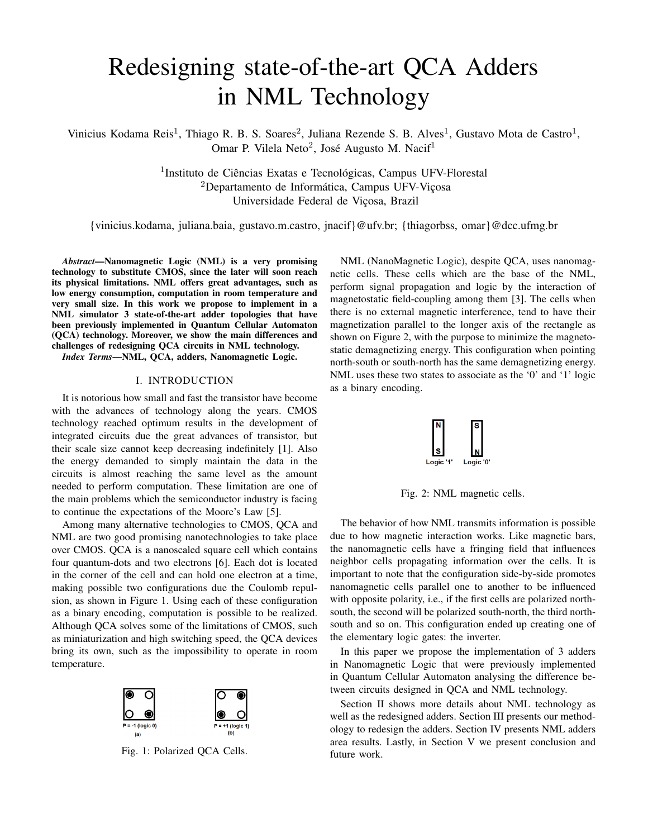# Redesigning state-of-the-art QCA Adders in NML Technology

Vinicius Kodama Reis<sup>1</sup>, Thiago R. B. S. Soares<sup>2</sup>, Juliana Rezende S. B. Alves<sup>1</sup>, Gustavo Mota de Castro<sup>1</sup>, Omar P. Vilela Neto<sup>2</sup>, José Augusto M. Nacif<sup>1</sup>

> <sup>1</sup>Instituto de Ciências Exatas e Tecnológicas, Campus UFV-Florestal <sup>2</sup>Departamento de Informática, Campus UFV-Viçosa Universidade Federal de Viçosa, Brazil

{vinicius.kodama, juliana.baia, gustavo.m.castro, jnacif}@ufv.br; {thiagorbss, omar}@dcc.ufmg.br

*Abstract*—Nanomagnetic Logic (NML) is a very promising technology to substitute CMOS, since the later will soon reach its physical limitations. NML offers great advantages, such as low energy consumption, computation in room temperature and very small size. In this work we propose to implement in a NML simulator 3 state-of-the-art adder topologies that have been previously implemented in Quantum Cellular Automaton (QCA) technology. Moreover, we show the main differences and challenges of redesigning QCA circuits in NML technology.

*Index Terms*—NML, QCA, adders, Nanomagnetic Logic.

## I. INTRODUCTION

It is notorious how small and fast the transistor have become with the advances of technology along the years. CMOS technology reached optimum results in the development of integrated circuits due the great advances of transistor, but their scale size cannot keep decreasing indefinitely [1]. Also the energy demanded to simply maintain the data in the circuits is almost reaching the same level as the amount needed to perform computation. These limitation are one of the main problems which the semiconductor industry is facing to continue the expectations of the Moore's Law [5].

Among many alternative technologies to CMOS, QCA and NML are two good promising nanotechnologies to take place over CMOS. QCA is a nanoscaled square cell which contains four quantum-dots and two electrons [6]. Each dot is located in the corner of the cell and can hold one electron at a time, making possible two configurations due the Coulomb repulsion, as shown in Figure 1. Using each of these configuration as a binary encoding, computation is possible to be realized. Although QCA solves some of the limitations of CMOS, such as miniaturization and high switching speed, the QCA devices bring its own, such as the impossibility to operate in room temperature.



Fig. 1: Polarized QCA Cells.

NML (NanoMagnetic Logic), despite QCA, uses nanomagnetic cells. These cells which are the base of the NML, perform signal propagation and logic by the interaction of magnetostatic field-coupling among them [3]. The cells when there is no external magnetic interference, tend to have their magnetization parallel to the longer axis of the rectangle as shown on Figure 2, with the purpose to minimize the magnetostatic demagnetizing energy. This configuration when pointing north-south or south-north has the same demagnetizing energy. NML uses these two states to associate as the '0' and '1' logic as a binary encoding.



Fig. 2: NML magnetic cells.

The behavior of how NML transmits information is possible due to how magnetic interaction works. Like magnetic bars, the nanomagnetic cells have a fringing field that influences neighbor cells propagating information over the cells. It is important to note that the configuration side-by-side promotes nanomagnetic cells parallel one to another to be influenced with opposite polarity, i.e., if the first cells are polarized northsouth, the second will be polarized south-north, the third northsouth and so on. This configuration ended up creating one of the elementary logic gates: the inverter.

In this paper we propose the implementation of 3 adders in Nanomagnetic Logic that were previously implemented in Quantum Cellular Automaton analysing the difference between circuits designed in QCA and NML technology.

Section II shows more details about NML technology as well as the redesigned adders. Section III presents our methodology to redesign the adders. Section IV presents NML adders area results. Lastly, in Section V we present conclusion and future work.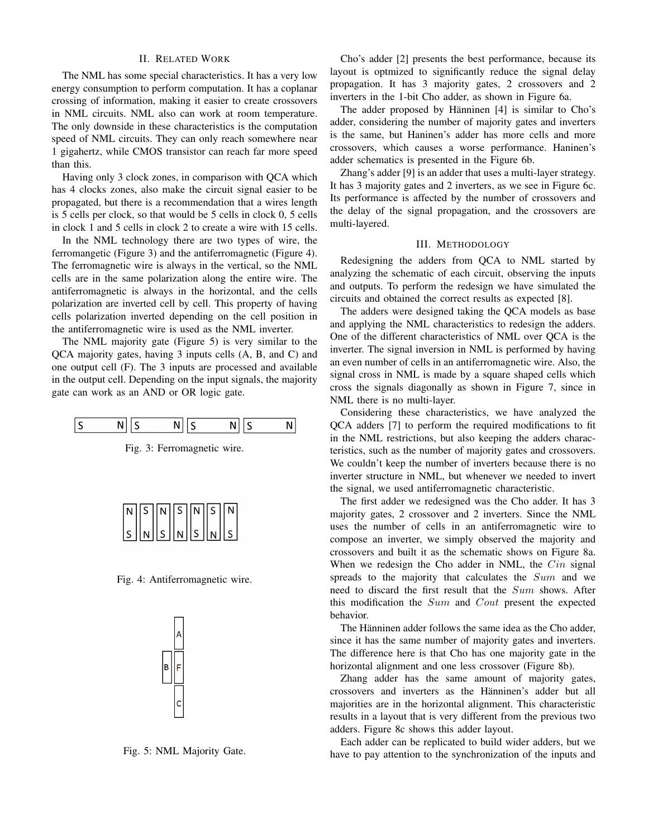## II. RELATED WORK

The NML has some special characteristics. It has a very low energy consumption to perform computation. It has a coplanar crossing of information, making it easier to create crossovers in NML circuits. NML also can work at room temperature. The only downside in these characteristics is the computation speed of NML circuits. They can only reach somewhere near 1 gigahertz, while CMOS transistor can reach far more speed than this.

Having only 3 clock zones, in comparison with QCA which has 4 clocks zones, also make the circuit signal easier to be propagated, but there is a recommendation that a wires length is 5 cells per clock, so that would be 5 cells in clock 0, 5 cells in clock 1 and 5 cells in clock 2 to create a wire with 15 cells.

In the NML technology there are two types of wire, the ferromangetic (Figure 3) and the antiferromagnetic (Figure 4). The ferromagnetic wire is always in the vertical, so the NML cells are in the same polarization along the entire wire. The antiferromagnetic is always in the horizontal, and the cells polarization are inverted cell by cell. This property of having cells polarization inverted depending on the cell position in the antiferromagnetic wire is used as the NML inverter.

The NML majority gate (Figure 5) is very similar to the QCA majority gates, having 3 inputs cells (A, B, and C) and one output cell (F). The 3 inputs are processed and available in the output cell. Depending on the input signals, the majority gate can work as an AND or OR logic gate.







Fig. 4: Antiferromagnetic wire.



Fig. 5: NML Majority Gate.

Cho's adder [2] presents the best performance, because its layout is optmized to significantly reduce the signal delay propagation. It has 3 majority gates, 2 crossovers and 2 inverters in the 1-bit Cho adder, as shown in Figure 6a.

The adder proposed by Hänninen [4] is similar to Cho's adder, considering the number of majority gates and inverters is the same, but Haninen's adder has more cells and more crossovers, which causes a worse performance. Haninen's adder schematics is presented in the Figure 6b.

Zhang's adder [9] is an adder that uses a multi-layer strategy. It has 3 majority gates and 2 inverters, as we see in Figure 6c. Its performance is affected by the number of crossovers and the delay of the signal propagation, and the crossovers are multi-layered.

## III. METHODOLOGY

Redesigning the adders from QCA to NML started by analyzing the schematic of each circuit, observing the inputs and outputs. To perform the redesign we have simulated the circuits and obtained the correct results as expected [8].

The adders were designed taking the QCA models as base and applying the NML characteristics to redesign the adders. One of the different characteristics of NML over QCA is the inverter. The signal inversion in NML is performed by having an even number of cells in an antiferromagnetic wire. Also, the signal cross in NML is made by a square shaped cells which cross the signals diagonally as shown in Figure 7, since in NML there is no multi-layer.

Considering these characteristics, we have analyzed the QCA adders [7] to perform the required modifications to fit in the NML restrictions, but also keeping the adders characteristics, such as the number of majority gates and crossovers. We couldn't keep the number of inverters because there is no inverter structure in NML, but whenever we needed to invert the signal, we used antiferromagnetic characteristic.

The first adder we redesigned was the Cho adder. It has 3 majority gates, 2 crossover and 2 inverters. Since the NML uses the number of cells in an antiferromagnetic wire to compose an inverter, we simply observed the majority and crossovers and built it as the schematic shows on Figure 8a. When we redesign the Cho adder in NML, the  $Cin$  signal spreads to the majority that calculates the Sum and we need to discard the first result that the Sum shows. After this modification the Sum and Cout present the expected behavior.

The Hänninen adder follows the same idea as the Cho adder, since it has the same number of majority gates and inverters. The difference here is that Cho has one majority gate in the horizontal alignment and one less crossover (Figure 8b).

Zhang adder has the same amount of majority gates, crossovers and inverters as the Hänninen's adder but all majorities are in the horizontal alignment. This characteristic results in a layout that is very different from the previous two adders. Figure 8c shows this adder layout.

Each adder can be replicated to build wider adders, but we have to pay attention to the synchronization of the inputs and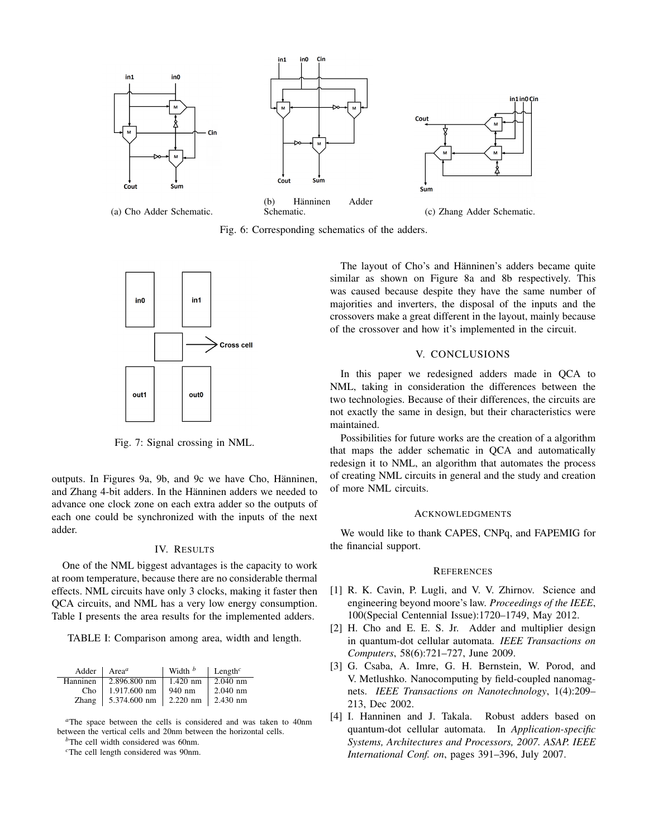

Fig. 6: Corresponding schematics of the adders.



Fig. 7: Signal crossing in NML.

outputs. In Figures 9a, 9b, and 9c we have Cho, Hänninen, and Zhang 4-bit adders. In the Hänninen adders we needed to advance one clock zone on each extra adder so the outputs of each one could be synchronized with the inputs of the next adder.

#### IV. RESULTS

One of the NML biggest advantages is the capacity to work at room temperature, because there are no considerable thermal effects. NML circuits have only 3 clocks, making it faster then QCA circuits, and NML has a very low energy consumption. Table I presents the area results for the implemented adders.

TABLE I: Comparison among area, width and length.

| Adder    | Area <sup>a</sup> | Width $b$  | Length <sup><math>c</math></sup> |
|----------|-------------------|------------|----------------------------------|
| Hanninen | 2.896.800 nm      | $1.420$ nm | $2.040$ nm                       |
| Cho      | 1.917.600 nm      | $940$ nm   | $2.040$ nm                       |
| Zhang    | 5.374.600 nm      | $2.220$ nm | $2.430$ nm                       |

*<sup>a</sup>*The space between the cells is considered and was taken to 40nm between the vertical cells and 20nm between the horizontal cells.

*<sup>b</sup>*The cell width considered was 60nm.

*<sup>c</sup>*The cell length considered was 90nm.

The layout of Cho's and Hänninen's adders became quite similar as shown on Figure 8a and 8b respectively. This was caused because despite they have the same number of majorities and inverters, the disposal of the inputs and the crossovers make a great different in the layout, mainly because of the crossover and how it's implemented in the circuit.

## V. CONCLUSIONS

In this paper we redesigned adders made in QCA to NML, taking in consideration the differences between the two technologies. Because of their differences, the circuits are not exactly the same in design, but their characteristics were maintained.

Possibilities for future works are the creation of a algorithm that maps the adder schematic in QCA and automatically redesign it to NML, an algorithm that automates the process of creating NML circuits in general and the study and creation of more NML circuits.

#### ACKNOWLEDGMENTS

We would like to thank CAPES, CNPq, and FAPEMIG for the financial support.

### **REFERENCES**

- [1] R. K. Cavin, P. Lugli, and V. V. Zhirnov. Science and engineering beyond moore's law. *Proceedings of the IEEE*, 100(Special Centennial Issue):1720–1749, May 2012.
- [2] H. Cho and E. E. S. Jr. Adder and multiplier design in quantum-dot cellular automata. *IEEE Transactions on Computers*, 58(6):721–727, June 2009.
- [3] G. Csaba, A. Imre, G. H. Bernstein, W. Porod, and V. Metlushko. Nanocomputing by field-coupled nanomagnets. *IEEE Transactions on Nanotechnology*, 1(4):209– 213, Dec 2002.
- [4] I. Hanninen and J. Takala. Robust adders based on quantum-dot cellular automata. In *Application-specific Systems, Architectures and Processors, 2007. ASAP. IEEE International Conf. on*, pages 391–396, July 2007.